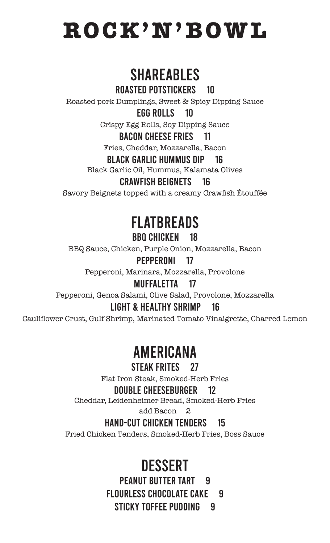**ROCK'N'BOWL**

# SHAREABLES

Roasted Potstickers 10

Roasted pork Dumplings, Sweet & Spicy Dipping Sauce

### Egg Rolls 10

Crispy Egg Rolls, Soy Dipping Sauce

## Bacon Cheese Fries 11

Fries, Cheddar, Mozzarella, Bacon

### Black Garlic Hummus Dip 16

Black Garlic Oil, Hummus, Kalamata Olives

### Crawfish Beignets 16

Savory Beignets topped with a creamy Crawfish Étouffée

## FLATBREADS BBQ Chicken 18

BBQ Sauce, Chicken, Purple Onion, Mozzarella, Bacon

## Pepperoni 17

Pepperoni, Marinara, Mozzarella, Provolone

### Muffaletta 17

Pepperoni, Genoa Salami, Olive Salad, Provolone, Mozzarella

### Light & Healthy Shrimp 16

Cauliflower Crust, Gulf Shrimp, Marinated Tomato Vinaigrette, Charred Lemon

## **AMERICANA**

#### STEAK FRITES 27

Flat Iron Steak, Smoked-Herb Fries

### Double Cheeseburger 12

Cheddar, Leidenheimer Bread, Smoked-Herb Fries

add Bacon 2

### Hand-Cut Chicken Tenders 15

Fried Chicken Tenders, Smoked-Herb Fries, Boss Sauce

# **DESSERT**

PEANUT BUTTER TART 9 FLOURLESS CHOCOLATE CAKE 9 STICKY TOFFEE PUDDING 9